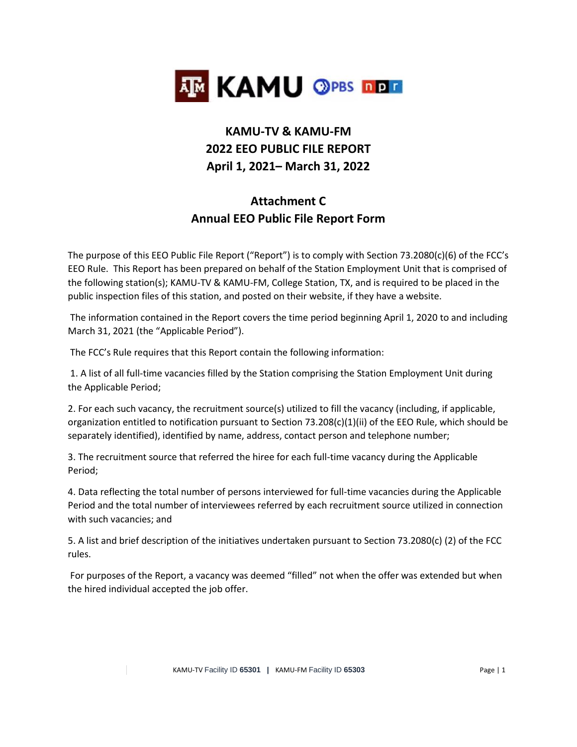

## **KAMU-TV & KAMU-FM 2022 EEO PUBLIC FILE REPORT April 1, 2021– March 31, 2022**

## **Attachment C Annual EEO Public File Report Form**

The purpose of this EEO Public File Report ("Report") is to comply with Section 73.2080(c)(6) of the FCC's EEO Rule. This Report has been prepared on behalf of the Station Employment Unit that is comprised of the following station(s); KAMU-TV & KAMU-FM, College Station, TX, and is required to be placed in the public inspection files of this station, and posted on their website, if they have a website.

The information contained in the Report covers the time period beginning April 1, 2020 to and including March 31, 2021 (the "Applicable Period").

The FCC's Rule requires that this Report contain the following information:

1. A list of all full-time vacancies filled by the Station comprising the Station Employment Unit during the Applicable Period;

2. For each such vacancy, the recruitment source(s) utilized to fill the vacancy (including, if applicable, organization entitled to notification pursuant to Section 73.208(c)(1)(ii) of the EEO Rule, which should be separately identified), identified by name, address, contact person and telephone number;

3. The recruitment source that referred the hiree for each full-time vacancy during the Applicable Period;

4. Data reflecting the total number of persons interviewed for full-time vacancies during the Applicable Period and the total number of interviewees referred by each recruitment source utilized in connection with such vacancies; and

5. A list and brief description of the initiatives undertaken pursuant to Section 73.2080(c) (2) of the FCC rules.

For purposes of the Report, a vacancy was deemed "filled" not when the offer was extended but when the hired individual accepted the job offer.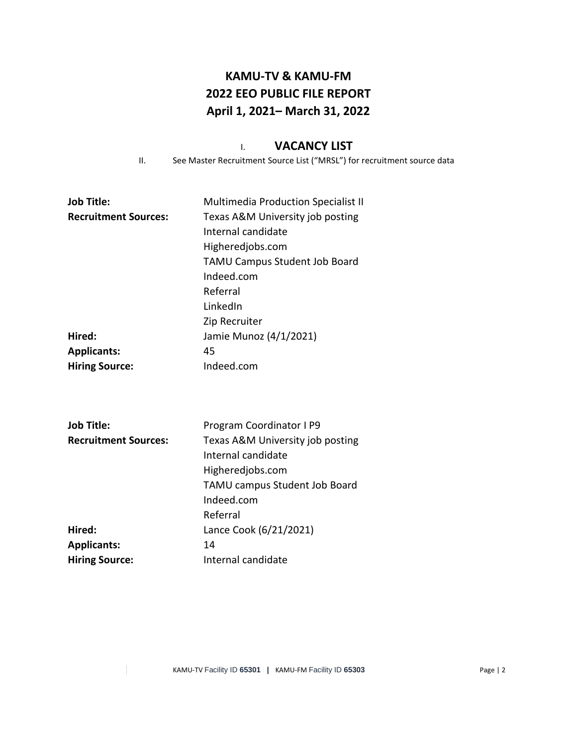## **KAMU-TV & KAMU-FM 2022 EEO PUBLIC FILE REPORT April 1, 2021– March 31, 2022**

#### I. **VACANCY LIST**

II. See Master Recruitment Source List ("MRSL") for recruitment source data

| <b>Job Title:</b>           | <b>Multimedia Production Specialist II</b> |
|-----------------------------|--------------------------------------------|
| <b>Recruitment Sources:</b> | Texas A&M University job posting           |
|                             | Internal candidate                         |
|                             | Higheredjobs.com                           |
|                             | TAMU Campus Student Job Board              |
|                             | Indeed.com                                 |
|                             | Referral                                   |
|                             | LinkedIn                                   |
|                             | Zip Recruiter                              |
| Hired:                      | Jamie Munoz (4/1/2021)                     |
| <b>Applicants:</b>          | 45                                         |
| <b>Hiring Source:</b>       | Indeed.com                                 |
|                             |                                            |

| <b>Job Title:</b>           | Program Coordinator I P9         |
|-----------------------------|----------------------------------|
| <b>Recruitment Sources:</b> | Texas A&M University job posting |
|                             | Internal candidate               |
|                             | Higheredjobs.com                 |
|                             | TAMU campus Student Job Board    |
|                             | Indeed.com                       |
|                             | Referral                         |
| Hired:                      | Lance Cook (6/21/2021)           |
| <b>Applicants:</b>          | 14                               |
| <b>Hiring Source:</b>       | Internal candidate               |

 $\begin{array}{ccc} \hline \end{array}$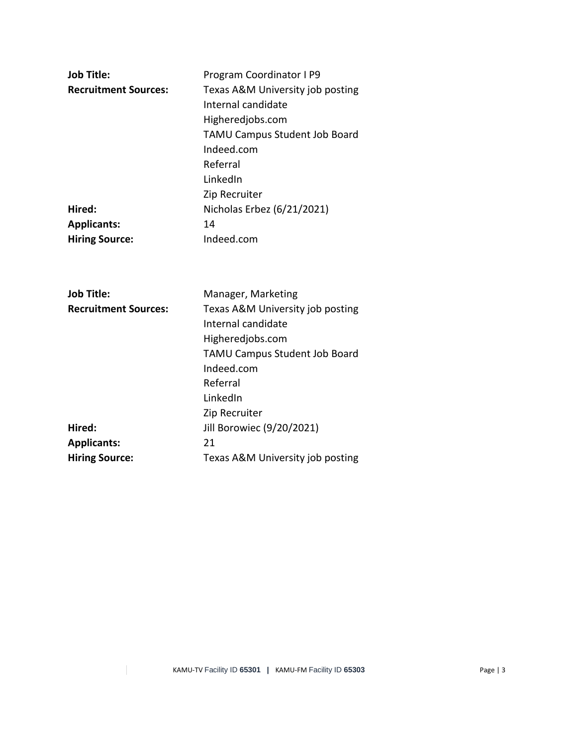| <b>Job Title:</b><br><b>Recruitment Sources:</b> | Program Coordinator I P9<br>Texas A&M University job posting<br>Internal candidate<br>Higheredjobs.com<br><b>TAMU Campus Student Job Board</b><br>Indeed.com<br>Referral<br>LinkedIn<br>Zip Recruiter |
|--------------------------------------------------|-------------------------------------------------------------------------------------------------------------------------------------------------------------------------------------------------------|
| Hired:                                           | Nicholas Erbez (6/21/2021)                                                                                                                                                                            |
| <b>Applicants:</b>                               | 14                                                                                                                                                                                                    |
| <b>Hiring Source:</b>                            | Indeed.com                                                                                                                                                                                            |
| <b>Job Title:</b>                                | Manager, Marketing                                                                                                                                                                                    |
| <b>Recruitment Sources:</b>                      | Texas A&M University job posting<br>Internal candidate<br>Higheredjobs.com<br>TAMU Campus Student Job Board<br>Indeed.com<br>Referral<br>LinkedIn<br>Zip Recruiter                                    |

|                       | zip Recruiter                    |
|-----------------------|----------------------------------|
| Hired:                | Jill Borowiec (9/20/2021)        |
| <b>Applicants:</b>    | 21                               |
| <b>Hiring Source:</b> | Texas A&M University job posting |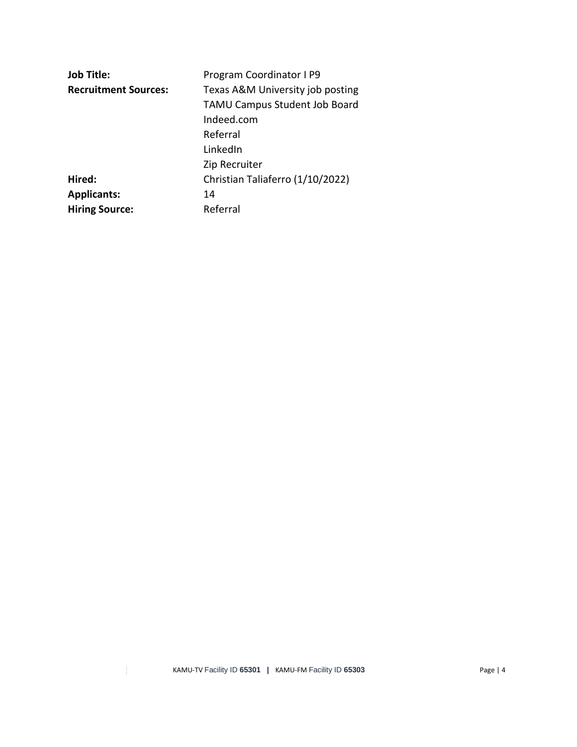| Program Coordinator I P9             |
|--------------------------------------|
| Texas A&M University job posting     |
| <b>TAMU Campus Student Job Board</b> |
| Indeed.com                           |
| Referral                             |
| LinkedIn                             |
| Zip Recruiter                        |
| Christian Taliaferro (1/10/2022)     |
| 14                                   |
| Referral                             |
|                                      |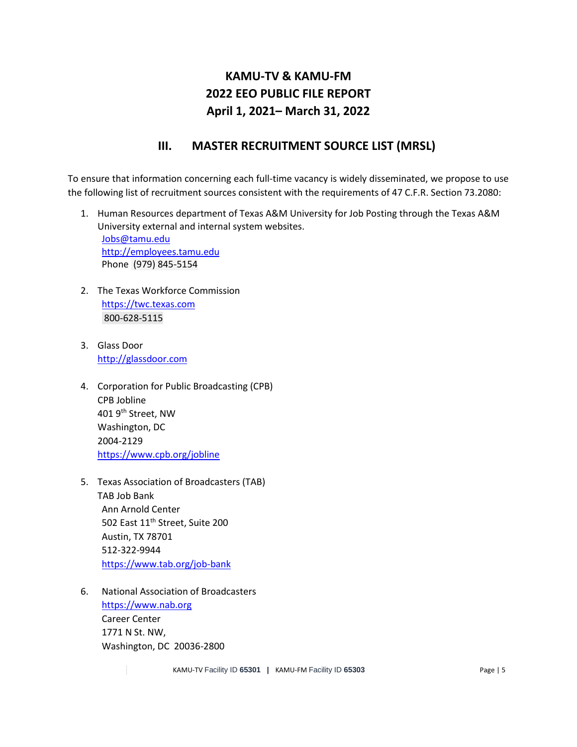# **KAMU-TV & KAMU-FM 2022 EEO PUBLIC FILE REPORT April 1, 2021– March 31, 2022**

#### **III. MASTER RECRUITMENT SOURCE LIST (MRSL)**

To ensure that information concerning each full-time vacancy is widely disseminated, we propose to use the following list of recruitment sources consistent with the requirements of 47 C.F.R. Section 73.2080:

- 1. Human Resources department of Texas A&M University for Job Posting through the Texas A&M University external and internal system websites. [Jobs@tamu.edu](mailto:Jobs@tamu.edu) [http://employees.tamu.edu](http://employees.tamu.edu/) Phone (979) 845-5154
- 2. The Texas Workforce Commission [https://twc.texas.com](https://twc.texas.com/) 800-628-5115
- 3. Glass Door [http://glassdoor.com](http://glassdoor.com/)
- 4. Corporation for Public Broadcasting (CPB) CPB Jobline 401 9th Street, NW Washington, DC 2004-2129 <https://www.cpb.org/jobline>
- 5. Texas Association of Broadcasters (TAB) TAB Job Bank Ann Arnold Center 502 East 11<sup>th</sup> Street, Suite 200 Austin, TX 78701 512-322-9944 <https://www.tab.org/job-bank>
- 6. National Association of Broadcasters [https://www.nab.org](https://www.nab.org/) Career Center 1771 N St. NW, Washington, DC 20036-2800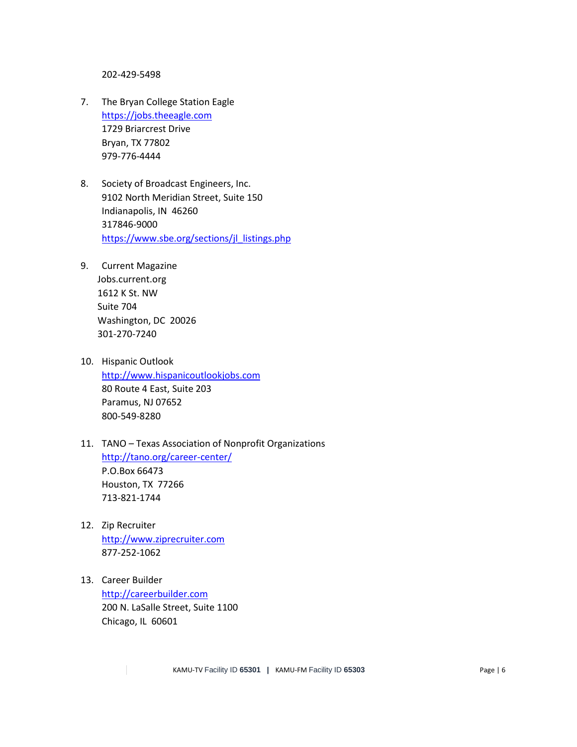202-429-5498

- 7. The Bryan College Station Eagle [https://jobs.theeagle.com](https://jobs.theeagle.com/) 1729 Briarcrest Drive Bryan, TX 77802 979-776-4444
- 8. Society of Broadcast Engineers, Inc. 9102 North Meridian Street, Suite 150 Indianapolis, IN 46260 317846-9000 [https://www.sbe.org/sections/jl\\_listings.php](https://www.sbe.org/sections/jl_listings.php)
- 9. Current Magazine Jobs.current.org 1612 K St. NW Suite 704 Washington, DC 20026 301-270-7240
- 10. Hispanic Outlook [http://www.hispanicoutlookjobs.com](http://www.hispanicoutlookjobs.com/) 80 Route 4 East, Suite 203 Paramus, NJ 07652 800-549-8280
- 11. TANO Texas Association of Nonprofit Organizations <http://tano.org/career-center/> P.O.Box 66473 Houston, TX 77266 713-821-1744
- 12. Zip Recruiter [http://www.ziprecruiter.com](http://www.ziprecruiter.com/) 877-252-1062
- 13. Career Builder [http://careerbuilder.com](http://careerbuilder.com/) 200 N. LaSalle Street, Suite 1100 Chicago, IL 60601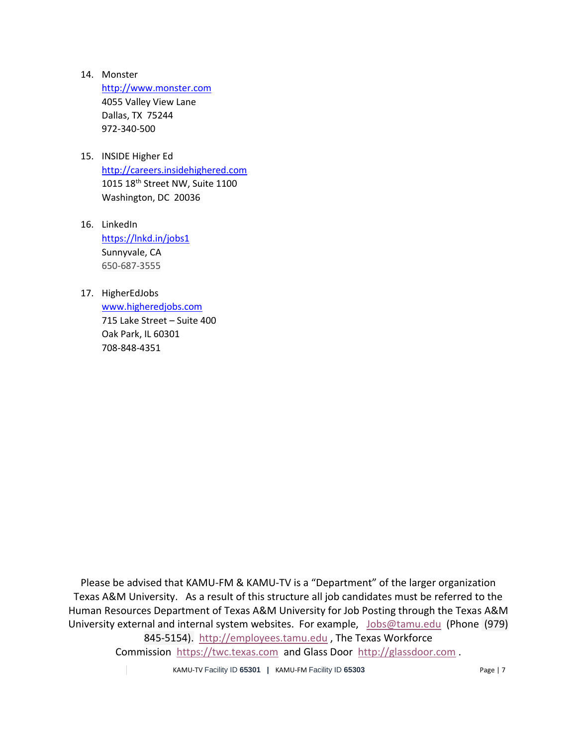- 14. Monster [http://www.monster.com](http://www.monster.com/) 4055 Valley View Lane Dallas, TX 75244 972-340-500
- 15. INSIDE Higher Ed [http://careers.insidehighered.com](http://careers.insidehighered.com/) 1015 18<sup>th</sup> Street NW, Suite 1100 Washington, DC 20036
- 16. LinkedIn <https://lnkd.in/jobs1> Sunnyvale, CA 650-687-3555
- 17. HigherEdJobs [www.higheredjobs.com](http://www.higheredjobs.com/) 715 Lake Street – Suite 400 Oak Park, IL 60301 708-848-4351

Please be advised that KAMU-FM & KAMU-TV is a "Department" of the larger organization Texas A&M University. As a result of this structure all job candidates must be referred to the Human Resources Department of Texas A&M University for Job Posting through the Texas A&M University external and internal system websites. For example, [Jobs@tamu.edu](mailto:Jobs@tamu.edu) (Phone (979) 845-5154). [http://employees.tamu.edu](http://employees.tamu.edu/) , The Texas Workforce Commission [https://twc.texas.com](https://twc.texas.com/) and Glass Door [http://glassdoor.com](http://glassdoor.com/) .

KAMU-TV Facility ID **65301 |** KAMU-FM Facility ID **65303** Page | 7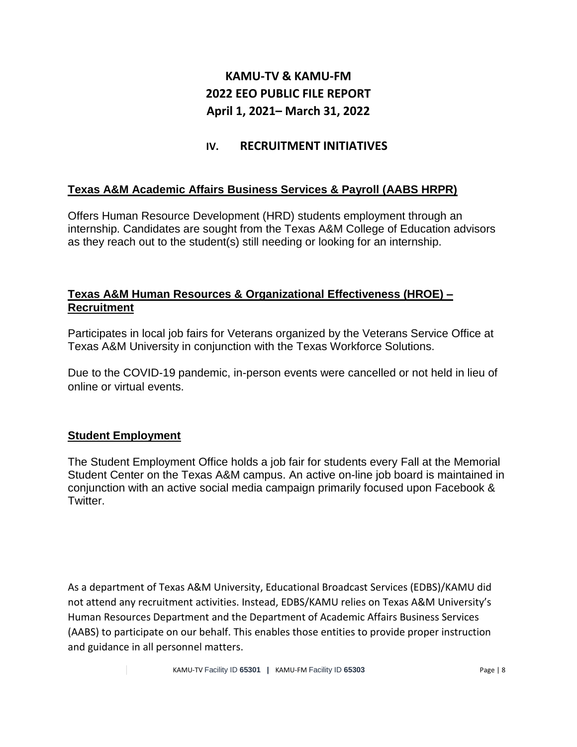# **KAMU-TV & KAMU-FM 2022 EEO PUBLIC FILE REPORT April 1, 2021– March 31, 2022**

### **IV. RECRUITMENT INITIATIVES**

### **Texas A&M Academic Affairs Business Services & Payroll (AABS HRPR)**

Offers Human Resource Development (HRD) students employment through an internship. Candidates are sought from the Texas A&M College of Education advisors as they reach out to the student(s) still needing or looking for an internship.

### **Texas A&M Human Resources & Organizational Effectiveness (HROE) – Recruitment**

Participates in local job fairs for Veterans organized by the Veterans Service Office at Texas A&M University in conjunction with the Texas Workforce Solutions.

Due to the COVID-19 pandemic, in-person events were cancelled or not held in lieu of online or virtual events.

#### **Student Employment**

The Student Employment Office holds a job fair for students every Fall at the Memorial Student Center on the Texas A&M campus. An active on-line job board is maintained in conjunction with an active social media campaign primarily focused upon Facebook & Twitter.

As a department of Texas A&M University, Educational Broadcast Services (EDBS)/KAMU did not attend any recruitment activities. Instead, EDBS/KAMU relies on Texas A&M University's Human Resources Department and the Department of Academic Affairs Business Services (AABS) to participate on our behalf. This enables those entities to provide proper instruction and guidance in all personnel matters.